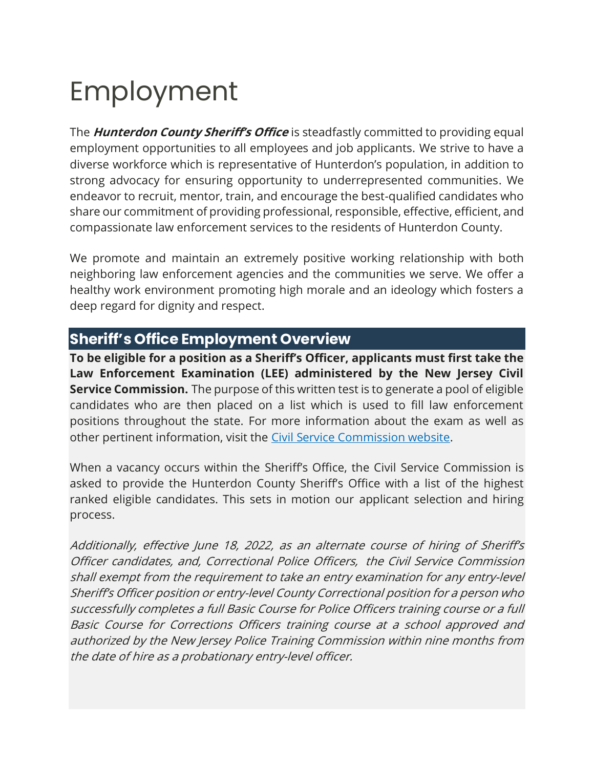# Employment

The **Hunterdon County Sheriff's Office** is steadfastly committed to providing equal employment opportunities to all employees and job applicants. We strive to have a diverse workforce which is representative of Hunterdon's population, in addition to strong advocacy for ensuring opportunity to underrepresented communities. We endeavor to recruit, mentor, train, and encourage the best-qualified candidates who share our commitment of providing professional, responsible, effective, efficient, and compassionate law enforcement services to the residents of Hunterdon County.

We promote and maintain an extremely positive working relationship with both neighboring law enforcement agencies and the communities we serve. We offer a healthy work environment promoting high morale and an ideology which fosters a deep regard for dignity and respect.

## **Sheriff's Office Employment Overview**

**To be eligible for a position as a Sheriff's Officer, applicants must first take the Law Enforcement Examination (LEE) administered by the New Jersey Civil Service Commission.** The purpose of this written test is to generate a pool of eligible candidates who are then placed on a list which is used to fill law enforcement positions throughout the state. For more information about the exam as well as other pertinent information, visit the [Civil Service Commission website.](http://www.state.nj.us/csc/seekers/jobs/safety/)

When a vacancy occurs within the Sheriff's Office, the Civil Service Commission is asked to provide the Hunterdon County Sheriff's Office with a list of the highest ranked eligible candidates. This sets in motion our applicant selection and hiring process.

Additionally, effective June 18, 2022, as an alternate course of hiring of Sheriff's Officer candidates, and, Correctional Police Officers, the Civil Service Commission shall exempt from the requirement to take an entry examination for any entry-level Sheriff's Officer position or entry-level County Correctional position for a person who successfully completes a full Basic Course for Police Officers training course or a full Basic Course for Corrections Officers training course at a school approved and authorized by the New Jersey Police Training Commission within nine months from the date of hire as a probationary entry-level officer.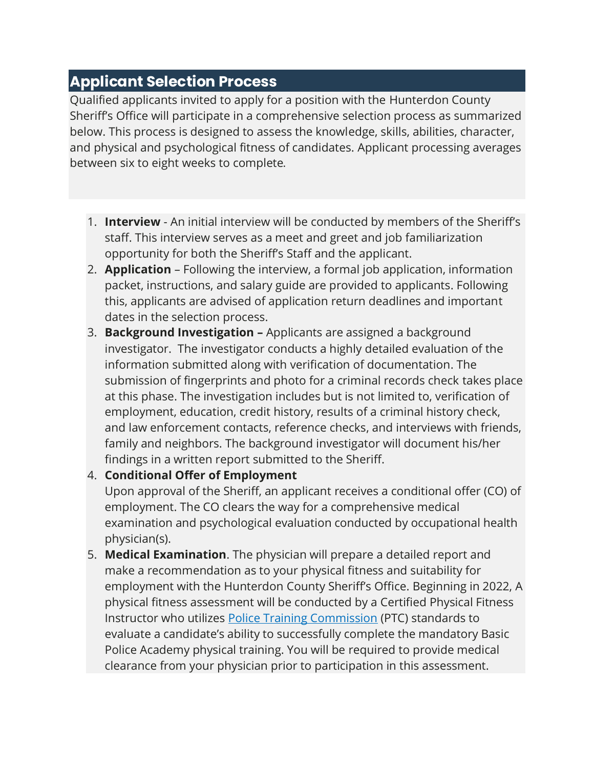## **Applicant Selection Process**

Qualified applicants invited to apply for a position with the Hunterdon County Sheriff's Office will participate in a comprehensive selection process as summarized below. This process is designed to assess the knowledge, skills, abilities, character, and physical and psychological fitness of candidates. Applicant processing averages between six to eight weeks to complete.

- 1. **Interview** An initial interview will be conducted by members of the Sheriff's staff. This interview serves as a meet and greet and job familiarization opportunity for both the Sheriff's Staff and the applicant.
- 2. **Application** Following the interview, a formal job application, information packet, instructions, and salary guide are provided to applicants. Following this, applicants are advised of application return deadlines and important dates in the selection process.
- 3. **Background Investigation –** Applicants are assigned a background investigator. The investigator conducts a highly detailed evaluation of the information submitted along with verification of documentation. The submission of fingerprints and photo for a criminal records check takes place at this phase. The investigation includes but is not limited to, verification of employment, education, credit history, results of a criminal history check, and law enforcement contacts, reference checks, and interviews with friends, family and neighbors. The background investigator will document his/her findings in a written report submitted to the Sheriff.

#### 4. **Conditional Offer of Employment**

Upon approval of the Sheriff, an applicant receives a conditional offer (CO) of employment. The CO clears the way for a comprehensive medical examination and psychological evaluation conducted by occupational health physician(s).

5. **Medical Examination**. The physician will prepare a detailed report and make a recommendation as to your physical fitness and suitability for employment with the Hunterdon County Sheriff's Office. Beginning in 2022, A physical fitness assessment will be conducted by a Certified Physical Fitness Instructor who utilizes [Police Training Commission](https://www.njoag.gov/about/divisions-and-offices/division-of-criminal-justice-home/police-training-commission/) (PTC) standards to evaluate a candidate's ability to successfully complete the mandatory Basic Police Academy physical training. You will be required to provide medical clearance from your physician prior to participation in this assessment.